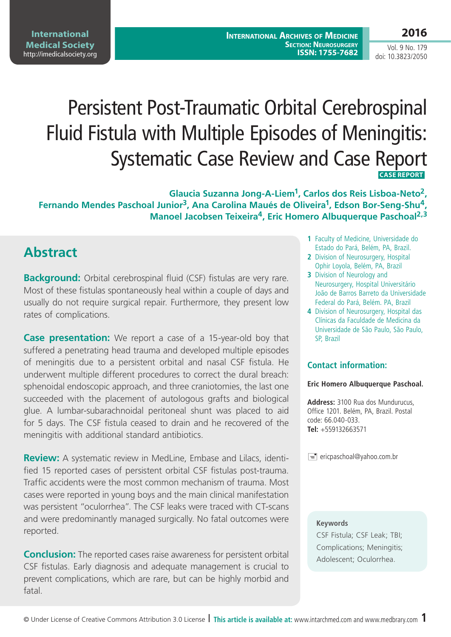## **2016**

Vol. 9 No. 179 doi: 10.3823/2050

# Persistent Post-Traumatic Orbital Cerebrospinal Fluid Fistula with Multiple Episodes of Meningitis: Systematic Case Review and Case Report  **CASE REPORT**

**Glaucia Suzanna Jong-A-Liem1, Carlos dos Reis Lisboa-Neto2,**  Fernando Mendes Paschoal Junior<sup>3</sup>, Ana Carolina Maués de Oliveira<sup>1</sup>, Edson Bor-Seng-Shu<sup>4</sup>, **Manoel Jacobsen Teixeira4, Eric Homero Albuquerque Paschoal2,3**

#### **Abstract**

**Background:** Orbital cerebrospinal fluid (CSF) fistulas are very rare. Most of these fistulas spontaneously heal within a couple of days and usually do not require surgical repair. Furthermore, they present low rates of complications.

**Case presentation:** We report a case of a 15-year-old boy that suffered a penetrating head trauma and developed multiple episodes of meningitis due to a persistent orbital and nasal CSF fistula. He underwent multiple different procedures to correct the dural breach: sphenoidal endoscopic approach, and three craniotomies, the last one succeeded with the placement of autologous grafts and biological glue. A lumbar-subarachnoidal peritoneal shunt was placed to aid for 5 days. The CSF fistula ceased to drain and he recovered of the meningitis with additional standard antibiotics.

**Review:** A systematic review in MedLine, Embase and Lilacs, identified 15 reported cases of persistent orbital CSF fistulas post-trauma. Traffic accidents were the most common mechanism of trauma. Most cases were reported in young boys and the main clinical manifestation was persistent "oculorrhea". The CSF leaks were traced with CT-scans and were predominantly managed surgically. No fatal outcomes were reported.

**Conclusion:** The reported cases raise awareness for persistent orbital CSF fistulas. Early diagnosis and adequate management is crucial to prevent complications, which are rare, but can be highly morbid and fatal.

- **1** Faculty of Medicine, Universidade do Estado do Pará, Belém, PA, Brazil.
- **2** Division of Neurosurgery, Hospital Ophir Loyola, Belém, PA, Brazil
- **3** Division of Neurology and Neurosurgery, Hospital Universitário João de Barros Barreto da Universidade Federal do Pará, Belém. PA, Brazil
- **4** Division of Neurosurgery, Hospital das Clínicas da Faculdade de Medicina da Universidade de São Paulo, São Paulo, SP, Brazil

#### **Contact information:**

#### **Eric Homero Albuquerque Paschoal.**

**Address:** 3100 Rua dos Mundurucus, Office 1201. Belém, PA, Brazil. Postal code: 66.040-033. **Tel:** +559132663571

 $\equiv$  ericpaschoal@yahoo.com.br

#### **Keywords**

CSF Fistula; CSF Leak; TBI; Complications; Meningitis; Adolescent; Oculorrhea.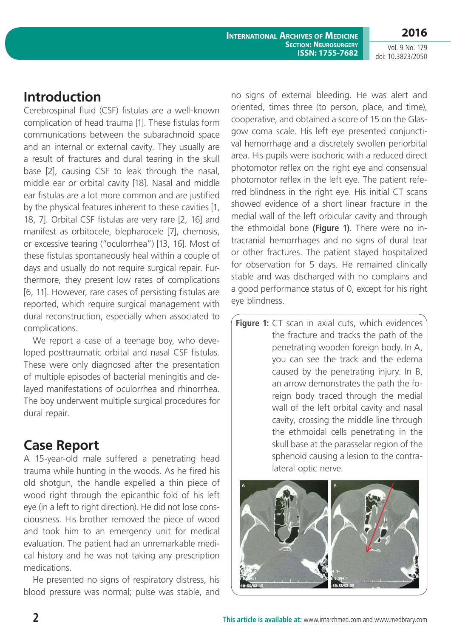Vol. 9 No. 179 doi: 10.3823/2050

### **Introduction**

Cerebrospinal fluid (CSF) fistulas are a well-known complication of head trauma [1]. These fistulas form communications between the subarachnoid space and an internal or external cavity. They usually are a result of fractures and dural tearing in the skull base [2], causing CSF to leak through the nasal, middle ear or orbital cavity [18]. Nasal and middle ear fistulas are a lot more common and are justified by the physical features inherent to these cavities [1, 18, 7]. Orbital CSF fistulas are very rare [2, 16] and manifest as orbitocele, blepharocele [7], chemosis, or excessive tearing ("oculorrhea") [13, 16]. Most of these fistulas spontaneously heal within a couple of days and usually do not require surgical repair. Furthermore, they present low rates of complications [6, 11]. However, rare cases of persisting fistulas are reported, which require surgical management with dural reconstruction, especially when associated to complications.

We report a case of a teenage boy, who developed posttraumatic orbital and nasal CSF fistulas. These were only diagnosed after the presentation of multiple episodes of bacterial meningitis and delayed manifestations of oculorrhea and rhinorrhea. The boy underwent multiple surgical procedures for dural repair.

## **Case Report**

A 15-year-old male suffered a penetrating head trauma while hunting in the woods. As he fired his old shotgun, the handle expelled a thin piece of wood right through the epicanthic fold of his left eye (in a left to right direction). He did not lose consciousness. His brother removed the piece of wood and took him to an emergency unit for medical evaluation. The patient had an unremarkable medical history and he was not taking any prescription medications.

He presented no signs of respiratory distress, his blood pressure was normal; pulse was stable, and no signs of external bleeding. He was alert and oriented, times three (to person, place, and time), cooperative, and obtained a score of 15 on the Glasgow coma scale. His left eye presented conjunctival hemorrhage and a discretely swollen periorbital area. His pupils were isochoric with a reduced direct photomotor reflex on the right eye and consensual photomotor reflex in the left eye. The patient referred blindness in the right eye. His initial CT scans showed evidence of a short linear fracture in the medial wall of the left orbicular cavity and through the ethmoidal bone **(Figure 1)**. There were no intracranial hemorrhages and no signs of dural tear or other fractures. The patient stayed hospitalized for observation for 5 days. He remained clinically stable and was discharged with no complains and a good performance status of 0, except for his right eye blindness.

**Figure 1:** CT scan in axial cuts, which evidences the fracture and tracks the path of the penetrating wooden foreign body. In A, you can see the track and the edema caused by the penetrating injury. In B, an arrow demonstrates the path the foreign body traced through the medial wall of the left orbital cavity and nasal cavity, crossing the middle line through the ethmoidal cells penetrating in the skull base at the parasselar region of the sphenoid causing a lesion to the contralateral optic nerve.

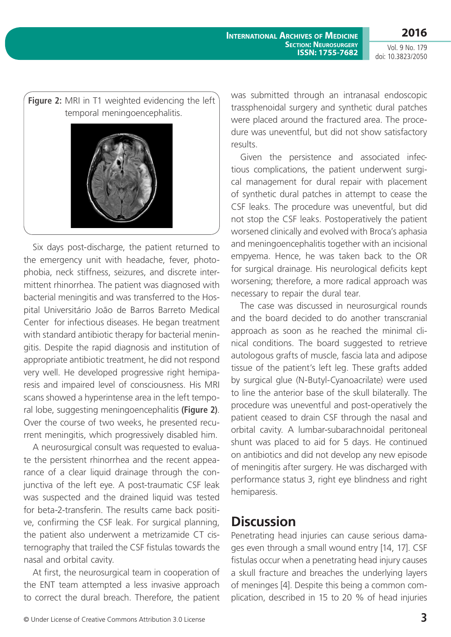**2016**

Vol. 9 No. 179 doi: 10.3823/2050



Six days post-discharge, the patient returned to the emergency unit with headache, fever, photophobia, neck stiffness, seizures, and discrete intermittent rhinorrhea. The patient was diagnosed with bacterial meningitis and was transferred to the Hospital Universitário João de Barros Barreto Medical Center for infectious diseases. He began treatment with standard antibiotic therapy for bacterial meningitis. Despite the rapid diagnosis and institution of appropriate antibiotic treatment, he did not respond very well. He developed progressive right hemiparesis and impaired level of consciousness. His MRI scans showed a hyperintense area in the left temporal lobe, suggesting meningoencephalitis **(Figure 2)**. Over the course of two weeks, he presented recurrent meningitis, which progressively disabled him.

A neurosurgical consult was requested to evaluate the persistent rhinorrhea and the recent appearance of a clear liquid drainage through the conjunctiva of the left eye. A post-traumatic CSF leak was suspected and the drained liquid was tested for beta-2-transferin. The results came back positive, confirming the CSF leak. For surgical planning, the patient also underwent a metrizamide CT cisternography that trailed the CSF fistulas towards the nasal and orbital cavity.

At first, the neurosurgical team in cooperation of the ENT team attempted a less invasive approach to correct the dural breach. Therefore, the patient was submitted through an intranasal endoscopic trassphenoidal surgery and synthetic dural patches were placed around the fractured area. The procedure was uneventful, but did not show satisfactory results.

Given the persistence and associated infectious complications, the patient underwent surgical management for dural repair with placement of synthetic dural patches in attempt to cease the CSF leaks. The procedure was uneventful, but did not stop the CSF leaks. Postoperatively the patient worsened clinically and evolved with Broca's aphasia and meningoencephalitis together with an incisional empyema. Hence, he was taken back to the OR for surgical drainage. His neurological deficits kept worsening; therefore, a more radical approach was necessary to repair the dural tear.

The case was discussed in neurosurgical rounds and the board decided to do another transcranial approach as soon as he reached the minimal clinical conditions. The board suggested to retrieve autologous grafts of muscle, fascia lata and adipose tissue of the patient's left leg. These grafts added by surgical glue (N-Butyl-Cyanoacrilate) were used to line the anterior base of the skull bilaterally. The procedure was uneventful and post-operatively the patient ceased to drain CSF through the nasal and orbital cavity. A lumbar-subarachnoidal peritoneal shunt was placed to aid for 5 days. He continued on antibiotics and did not develop any new episode of meningitis after surgery. He was discharged with performance status 3, right eye blindness and right hemiparesis.

#### **Discussion**

Penetrating head injuries can cause serious damages even through a small wound entry [14, 17]. CSF fistulas occur when a penetrating head injury causes a skull fracture and breaches the underlying layers of meninges [4]. Despite this being a common complication, described in 15 to 20 % of head injuries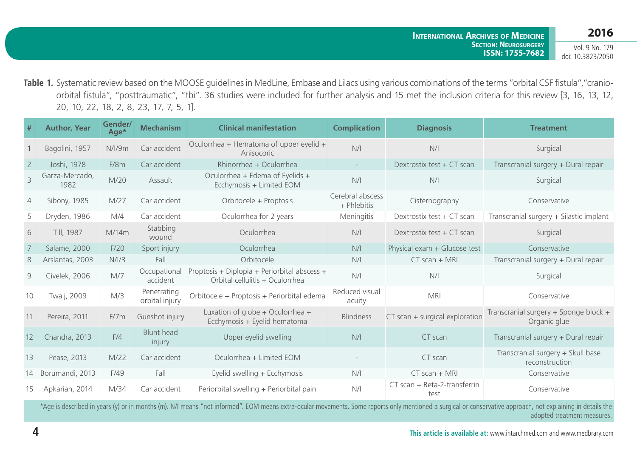Vol. 9 No. 179 doi: 10.3823/2050

Table 1. Systematic review based on the MOOSE guidelines in MedLine, Embase and Lilacs using various combinations of the terms "orbital CSF fistula", "cranioorbital fistula", "posttraumatic", "tbi". 36 studies were included for further analysis and 15 met the inclusion criteria for this review [3, 16, 13, 12, 20, 10, 22, 18, 2, 8, 23, 17, 7, 5, 1].

| #              | <b>Author, Year</b>    | Gender/<br>Age* | <b>Mechanism</b>              | <b>Clinical manifestation</b>                                                   | <b>Complication</b>             | <b>Diagnosis</b>                     | <b>Treatment</b>                                      |
|----------------|------------------------|-----------------|-------------------------------|---------------------------------------------------------------------------------|---------------------------------|--------------------------------------|-------------------------------------------------------|
|                | Bagolini, 1957         | N/l/9m          | Car accident                  | Oculorrhea + Hematoma of upper eyelid +<br>Anisocoric                           | N/I                             | N/I                                  | Surgical                                              |
| $\overline{2}$ | Joshi, 1978            | F/8m            | Car accident                  | Rhinorrhea + Oculorrhea                                                         |                                 | Dextrostix test + CT scan            | Transcranial surgery + Dural repair                   |
| $\overline{3}$ | Garza-Mercado,<br>1982 | M/20            | Assault                       | Oculorrhea + Edema of Eyelids +<br>Ecchymosis + Limited EOM                     | N/I                             | N/I                                  | Surgical                                              |
| 4              | Sibony, 1985           | M/27            | Car accident                  | Orbitocele + Proptosis                                                          | Cerebral abscess<br>+ Phlebitis | Cisternography                       | Conservative                                          |
| 5              | Dryden, 1986           | M/4             | Car accident                  | Oculorrhea for 2 years                                                          | Meningitis                      | Dextrostix test + CT scan            | Transcranial surgery + Silastic implant               |
| 6              | Till, 1987             | M/14m           | Stabbing<br>wound             | Oculorrhea                                                                      | N/I                             | Dextrostix test + CT scan            | Surgical                                              |
| 7              | Salame, 2000           | F/20            | Sport injury                  | Oculorrhea                                                                      | N/I                             | Physical exam + Glucose test         | Conservative                                          |
| 8              | Arslantas, 2003        | N/I/3           | Fall                          | Orbitocele                                                                      | N/I                             | $CT scan + MRI$                      | Transcranial surgery + Dural repair                   |
| 9              | Civelek, 2006          | M/7             | Occupational<br>accident      | Proptosis + Diplopia + Periorbital abscess +<br>Orbital cellulitis + Oculorrhea | N/I                             | N/I                                  | Surgical                                              |
| 10             | Twaij, 2009            | M/3             | Penetrating<br>orbital injury | Orbitocele + Proptosis + Periorbital edema                                      | Reduced visual<br>acuity        | <b>MRI</b>                           | Conservative                                          |
| 11             | Pereira, 2011          | F/7m            | Gunshot injury                | Luxation of globe + Oculorrhea +<br>Ecchymosis + Eyelid hematoma                | <b>Blindness</b>                | CT scan + surgical exploration       | Transcranial surgery + Sponge block +<br>Organic glue |
| 12             | Chandra, 2013          | F/4             | <b>Blunt head</b><br>injury   | Upper eyelid swelling                                                           | N/I                             | CT scan                              | Transcranial surgery + Dural repair                   |
| 13             | Pease, 2013            | M/22            | Car accident                  | Oculorrhea + Limited EOM                                                        |                                 | CT scan                              | Transcranial surgery + Skull base<br>reconstruction   |
| 14             | Borumandi, 2013        | F/49            | Fall                          | Eyelid swelling + Ecchymosis                                                    | N/I                             | $CT scan + MRI$                      | Conservative                                          |
| 15             | Apkarian, 2014         | M/34            | Car accident                  | Periorbital swelling + Periorbital pain                                         | N/I                             | CT scan + Beta-2-transferrin<br>test | Conservative                                          |
|                |                        |                 |                               | the control of the control of the control of the                                |                                 |                                      |                                                       |

\*Age is described in years (y) or in months (m). N/I means "not informed". EOM means extra-ocular movements. Some reports only mentioned a surgical or conservative approach, not explaining in details the adopted treatment measures.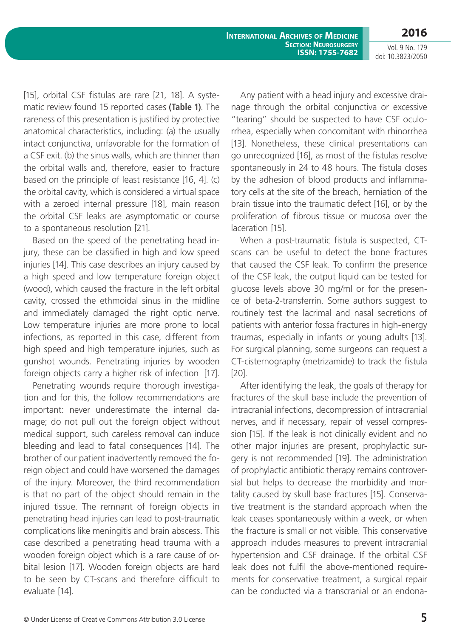**International Archives of Medicine Section: Neurosurgery ISSN: 1755-7682**

Vol. 9 No. 179 doi: 10.3823/2050

**2016**

[15], orbital CSF fistulas are rare [21, 18]. A systematic review found 15 reported cases **(Table 1)**. The rareness of this presentation is justified by protective anatomical characteristics, including: (a) the usually intact conjunctiva, unfavorable for the formation of a CSF exit. (b) the sinus walls, which are thinner than the orbital walls and, therefore, easier to fracture based on the principle of least resistance [16, 4]. (c) the orbital cavity, which is considered a virtual space with a zeroed internal pressure [18], main reason the orbital CSF leaks are asymptomatic or course to a spontaneous resolution [21].

Based on the speed of the penetrating head injury, these can be classified in high and low speed injuries [14]. This case describes an injury caused by a high speed and low temperature foreign object (wood), which caused the fracture in the left orbital cavity, crossed the ethmoidal sinus in the midline and immediately damaged the right optic nerve. Low temperature injuries are more prone to local infections, as reported in this case, different from high speed and high temperature injuries, such as gunshot wounds. Penetrating injuries by wooden foreign objects carry a higher risk of infection [17].

Penetrating wounds require thorough investigation and for this, the follow recommendations are important: never underestimate the internal damage; do not pull out the foreign object without medical support, such careless removal can induce bleeding and lead to fatal consequences [14]. The brother of our patient inadvertently removed the foreign object and could have worsened the damages of the injury. Moreover, the third recommendation is that no part of the object should remain in the injured tissue. The remnant of foreign objects in penetrating head injuries can lead to post-traumatic complications like meningitis and brain abscess. This case described a penetrating head trauma with a wooden foreign object which is a rare cause of orbital lesion [17]. Wooden foreign objects are hard to be seen by CT-scans and therefore difficult to evaluate [14].

Any patient with a head injury and excessive drainage through the orbital conjunctiva or excessive "tearing" should be suspected to have CSF oculorrhea, especially when concomitant with rhinorrhea [13]. Nonetheless, these clinical presentations can go unrecognized [16], as most of the fistulas resolve spontaneously in 24 to 48 hours. The fistula closes by the adhesion of blood products and inflammatory cells at the site of the breach, herniation of the brain tissue into the traumatic defect [16], or by the proliferation of fibrous tissue or mucosa over the laceration [15].

When a post-traumatic fistula is suspected, CTscans can be useful to detect the bone fractures that caused the CSF leak. To confirm the presence of the CSF leak, the output liquid can be tested for glucose levels above 30 mg/ml or for the presence of beta-2-transferrin. Some authors suggest to routinely test the lacrimal and nasal secretions of patients with anterior fossa fractures in high-energy traumas, especially in infants or young adults [13]. For surgical planning, some surgeons can request a CT-cisternography (metrizamide) to track the fistula [20].

After identifying the leak, the goals of therapy for fractures of the skull base include the prevention of intracranial infections, decompression of intracranial nerves, and if necessary, repair of vessel compression [15]. If the leak is not clinically evident and no other major injuries are present, prophylactic surgery is not recommended [19]. The administration of prophylactic antibiotic therapy remains controversial but helps to decrease the morbidity and mortality caused by skull base fractures [15]. Conservative treatment is the standard approach when the leak ceases spontaneously within a week, or when the fracture is small or not visible. This conservative approach includes measures to prevent intracranial hypertension and CSF drainage. If the orbital CSF leak does not fulfil the above-mentioned requirements for conservative treatment, a surgical repair can be conducted via a transcranial or an endona-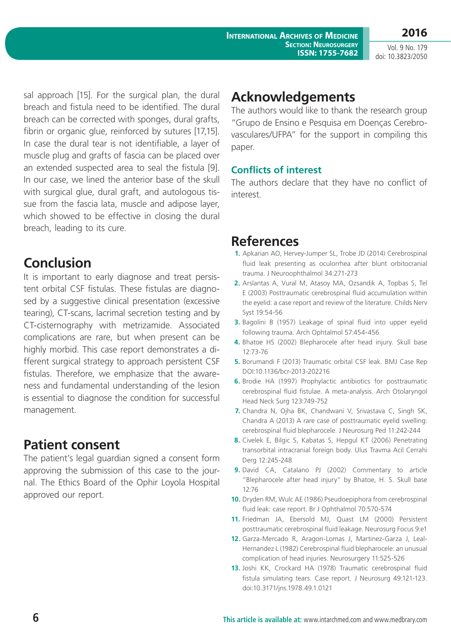**2016** Vol. 9 No. 179

doi: 10.3823/2050

sal approach [15]. For the surgical plan, the dural breach and fistula need to be identified. The dural breach can be corrected with sponges, dural grafts, fibrin or organic glue, reinforced by sutures [17,15]. In case the dural tear is not identifiable, a layer of muscle plug and grafts of fascia can be placed over an extended suspected area to seal the fistula [9]. In our case, we lined the anterior base of the skull with surgical glue, dural graft, and autologous tissue from the fascia lata, muscle and adipose layer, which showed to be effective in closing the dural breach, leading to its cure.

### **Conclusion**

It is important to early diagnose and treat persistent orbital CSF fistulas. These fistulas are diagnosed by a suggestive clinical presentation (excessive tearing), CT-scans, lacrimal secretion testing and by CT-cisternography with metrizamide. Associated complications are rare, but when present can be highly morbid. This case report demonstrates a different surgical strategy to approach persistent CSF fistulas. Therefore, we emphasize that the awareness and fundamental understanding of the lesion is essential to diagnose the condition for successful management.

# **Patient consent**

The patient's legal guardian signed a consent form approving the submission of this case to the journal. The Ethics Board of the Ophir Loyola Hospital approved our report.

### **Acknowledgements**

The authors would like to thank the research group "Grupo de Ensino e Pesquisa em Doenças Cerebrovasculares/UFPA" for the support in compiling this paper.

#### **Conflicts of interest**

The authors declare that they have no conflict of interest.

### **References**

- **1.** Apkarian AO, Hervey-Jumper SL, Trobe JD (2014) Cerebrospinal fluid leak presenting as oculorrhea after blunt orbitocranial trauma. J Neuroophthalmol 34:271-273
- **2.** Arslantas A, Vural M, Atasoy MA, Ozsandik A, Topbas S, Tel E (2003) Posttraumatic cerebrospinal fluid accumulation within the eyelid: a case report and review of the literature. Childs Nerv Syst 19:54-56
- **3.** Bagolini B (1957) Leakage of spinal fluid into upper eyelid following trauma. Arch Ophtalmol 57:454-456
- **4.** Bhatoe HS (2002) Blepharocele after head injury. Skull base 12:73-76
- **5.** Borumandi F (2013) Traumatic orbital CSF leak. BMJ Case Rep DOI:10.1136/bcr-2013-202216
- **6.** Brodie HA (1997) Prophylactic antibiotics for posttraumatic cerebrospinal fluid fistulae. A meta-analysis. Arch Otolaryngol Head Neck Surg 123:749-752
- **7.** Chandra N, Ojha BK, Chandwani V, Srivastava C, Singh SK, Chandra A (2013) A rare case of posttraumatic eyelid swelling: cerebrospinal fluid blepharocele. J Neurosurg Ped 11:242-244
- **8.** Civelek E, Bilgic S, Kabatas S, Hepgul KT (2006) Penetrating transorbital intracranial foreign body. Ulus Travma Acil Cerrahi Derg 12:245-248
- **9.** David CA, Catalano PJ (2002) Commentary to article "Blepharocele after head injury" by Bhatoe, H. S. Skull base 12:76
- **10.** Dryden RM, Wulc AE (1986) Pseudoepiphora from cerebrospinal fluid leak: case report. Br J Ophthalmol 70:570-574
- **11.** Friedman JA, Ebersold MJ, Quast LM (2000) Persistent posttraumatic cerebrospinal fluid leakage. Neurosurg Focus 9:e1
- **12.** Garza-Mercado R, Aragon-Lomas J, Martinez-Garza J, Leal-Hernandez L (1982) Cerebrospinal fluid blepharocele: an unusual complication of head injuries. Neurosurgery 11:525-526
- **13.** Joshi KK, Crockard HA (1978) Traumatic cerebrospinal fluid fistula simulating tears. Case report. J Neurosurg 49:121-123. doi:10.3171/jns.1978.49.1.0121